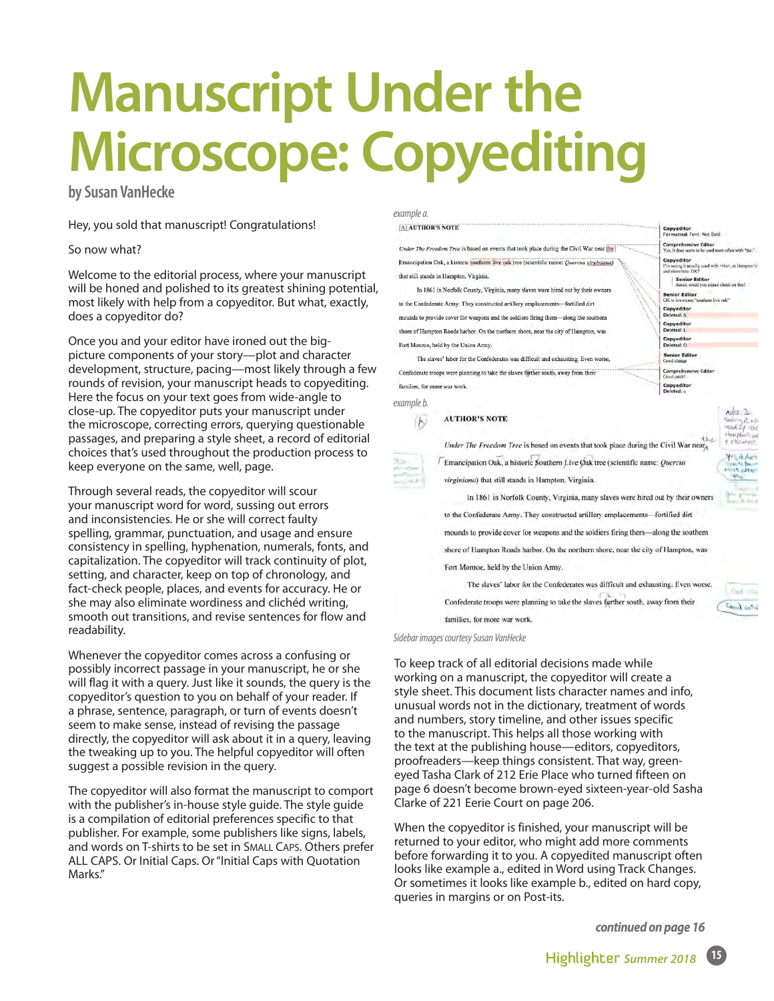# **Manuscript Under the Microscope: Copyediting**

**by Susan VanHecke**

Hey, you sold that manuscript! Congratulations!

#### So now what?

Welcome to the editorial process, where your manuscript will be honed and polished to its greatest shining potential, most likely with help from a copyeditor. But what, exactly, does a copyeditor do?

Once you and your editor have ironed out the bigpicture components of your story—plot and character development, structure, pacing—most likely through a few rounds of revision, your manuscript heads to copyediting. Here the focus on your text goes from wide-angle to close-up. The copyeditor puts your manuscript under the microscope, correcting errors, querying questionable passages, and preparing a style sheet, a record of editorial choices that's used throughout the production process to keep everyone on the same, well, page.

Through several reads, the copyeditor will scour your manuscript word for word, sussing out errors and inconsistencies. He or she will correct faulty spelling, grammar, punctuation, and usage and ensure consistency in spelling, hyphenation, numerals, fonts, and capitalization. The copyeditor will track continuity of plot, setting, and character, keep on top of chronology, and fact-check people, places, and events for accuracy. He or she may also eliminate wordiness and clichéd writing, smooth out transitions, and revise sentences for flow and readability.

Whenever the copyeditor comes across a confusing or possibly incorrect passage in your manuscript, he or she will flag it with a query. Just like it sounds, the query is the copyeditor's question to you on behalf of your reader. If a phrase, sentence, paragraph, or turn of events doesn't seem to make sense, instead of revising the passage directly, the copyeditor will ask about it in a query, leaving the tweaking up to you. The helpful copyeditor will often suggest a possible revision in the query.

The copyeditor will also format the manuscript to comport with the publisher's in-house style guide. The style guide is a compilation of editorial preferences specific to that publisher. For example, some publishers like signs, labels, and words on T-shirts to be set in SMALL CAPS. Others prefer ALL CAPS. Or Initial Caps. Or "Initial Caps with Quotation Marks."

#### *example a.*

[A] AUTHOR'S NOTE

Under The Freedom Tree is based on events that took place during the Civil War near the Emancination Oak, a historic southern live oak tree (scientific name: Overcus virginiana) that still stands in Hampton, Virginia.

In 1861 in Norfolk County, Virginia, many slaves were hired out by their owners to the Confederate Army. They constructed artillery emplacements-fortified dirt mounds to provide cover for weapons and the soldiers firing them—along the southern shore of Hampton Roads harbor. On the northern shore, near the city of Hampton, was Fort Monroe, held by the Union Army

The slaves' labor for the Confederates was difficult and exhausting. Even worse, Confederate troops were planning to take the slaves farther south, away from their families, for more war work.

*example b.*

#### **AUTHOR'S NOTE**  $\left| \right\rangle$

Under The Freedom Tree is based on events that took place during the Civil War near Emancipation Oak, a historic Southern Live Øak tree (scientific name: Quercus virginiana) that still stands in Hampton, Virginia.

In 1861 in Norfolk County, Virginia, many slaves were hired out by their owners to the Confederate Army. They constructed artillery emplacements-fortified dirt mounds to provide cover for weapons and the soldiers firing them-along the southern shore of Hampton Roads harbor. On the northern shore, near the city of Hampton, was

Fort Monroe, held by the Union Army.

The slaves' labor for the Confederates was difficult and exhausting. Even worse, Confederate troops were planning to take the slaves further south, away from their families, for more war work.

*Sidebar images courtesy Susan VanHecke*

To keep track of all editorial decisions made while working on a manuscript, the copyeditor will create a style sheet. This document lists character names and info, unusual words not in the dictionary, treatment of words and numbers, story timeline, and other issues specific to the manuscript. This helps all those working with the text at the publishing house—editors, copyeditors, proofreaders—keep things consistent. That way, greeneyed Tasha Clark of 212 Erie Place who turned fifteen on page 6 doesn't become brown-eyed sixteen-year-old Sasha Clarke of 221 Eerie Court on page 206.

When the copyeditor is finished, your manuscript will be returned to your editor, who might add more comments before forwarding it to you. A copyedited manuscript often looks like example a., edited in Word using Track Changes. Or sometimes it looks like example b., edited on hard copy, queries in margins or on Post-its.

*continued on page 16* 



 $P = 1$ 

the desired



Copyeditor<br>Formatted: Font: Not Bold **Comprehensive Editor** 

**Senior Editor**<br>Susan, could you pl

**Senior Editor**<br>OK to lowercase "so

Copyeditor<br>Deleted: S

Copyeditor<br>Deleted: L

Copyeditor<br>Deleted: O

**Senior Editor**<br>Good change

Copyeditor<br>Deleted: u

 $\begin{array}{l} \textbf{Copyeditor} \\ l'm seeing it usually used with **the**>, at H \\ \text{and elsewhere. OK?} \end{array}$ 

Arrest March